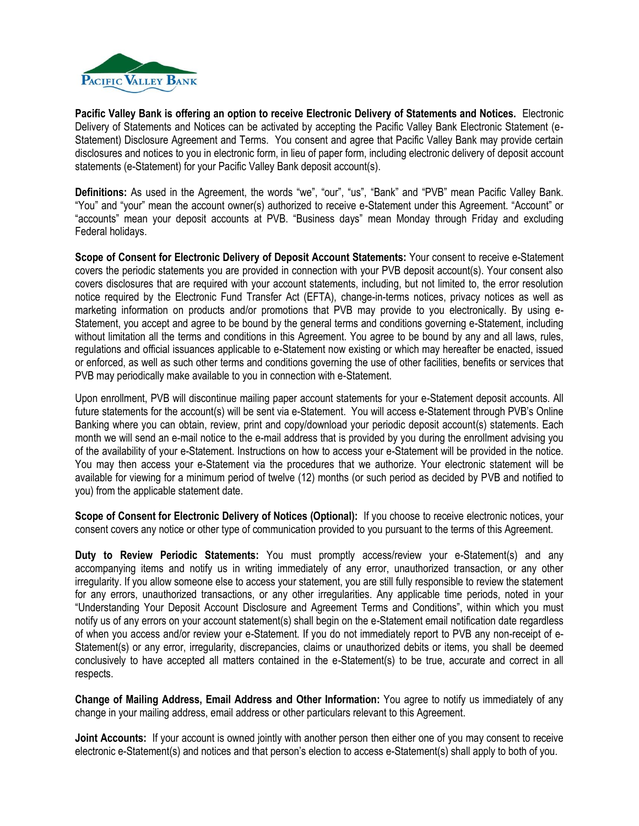

**Pacific Valley Bank is offering an option to receive Electronic Delivery of Statements and Notices.** Electronic Delivery of Statements and Notices can be activated by accepting the Pacific Valley Bank Electronic Statement (e-Statement) Disclosure Agreement and Terms. You consent and agree that Pacific Valley Bank may provide certain disclosures and notices to you in electronic form, in lieu of paper form, including electronic delivery of deposit account statements (e-Statement) for your Pacific Valley Bank deposit account(s).

**Definitions:** As used in the Agreement, the words "we", "our", "us", "Bank" and "PVB" mean Pacific Valley Bank. "You" and "your" mean the account owner(s) authorized to receive e-Statement under this Agreement. "Account" or "accounts" mean your deposit accounts at PVB. "Business days" mean Monday through Friday and excluding Federal holidays.

**Scope of Consent for Electronic Delivery of Deposit Account Statements:** Your consent to receive e-Statement covers the periodic statements you are provided in connection with your PVB deposit account(s). Your consent also covers disclosures that are required with your account statements, including, but not limited to, the error resolution notice required by the Electronic Fund Transfer Act (EFTA), change-in-terms notices, privacy notices as well as marketing information on products and/or promotions that PVB may provide to you electronically. By using e-Statement, you accept and agree to be bound by the general terms and conditions governing e-Statement, including without limitation all the terms and conditions in this Agreement. You agree to be bound by any and all laws, rules, regulations and official issuances applicable to e-Statement now existing or which may hereafter be enacted, issued or enforced, as well as such other terms and conditions governing the use of other facilities, benefits or services that PVB may periodically make available to you in connection with e-Statement.

Upon enrollment, PVB will discontinue mailing paper account statements for your e-Statement deposit accounts. All future statements for the account(s) will be sent via e-Statement. You will access e-Statement through PVB's Online Banking where you can obtain, review, print and copy/download your periodic deposit account(s) statements. Each month we will send an e-mail notice to the e-mail address that is provided by you during the enrollment advising you of the availability of your e-Statement. Instructions on how to access your e-Statement will be provided in the notice. You may then access your e-Statement via the procedures that we authorize. Your electronic statement will be available for viewing for a minimum period of twelve (12) months (or such period as decided by PVB and notified to you) from the applicable statement date.

**Scope of Consent for Electronic Delivery of Notices (Optional):** If you choose to receive electronic notices, your consent covers any notice or other type of communication provided to you pursuant to the terms of this Agreement.

**Duty to Review Periodic Statements:** You must promptly access/review your e-Statement(s) and any accompanying items and notify us in writing immediately of any error, unauthorized transaction, or any other irregularity. If you allow someone else to access your statement, you are still fully responsible to review the statement for any errors, unauthorized transactions, or any other irregularities. Any applicable time periods, noted in your "Understanding Your Deposit Account Disclosure and Agreement Terms and Conditions", within which you must notify us of any errors on your account statement(s) shall begin on the e-Statement email notification date regardless of when you access and/or review your e-Statement. If you do not immediately report to PVB any non-receipt of e-Statement(s) or any error, irregularity, discrepancies, claims or unauthorized debits or items, you shall be deemed conclusively to have accepted all matters contained in the e-Statement(s) to be true, accurate and correct in all respects.

**Change of Mailing Address, Email Address and Other Information:** You agree to notify us immediately of any change in your mailing address, email address or other particulars relevant to this Agreement.

**Joint Accounts:** If your account is owned jointly with another person then either one of you may consent to receive electronic e-Statement(s) and notices and that person's election to access e-Statement(s) shall apply to both of you.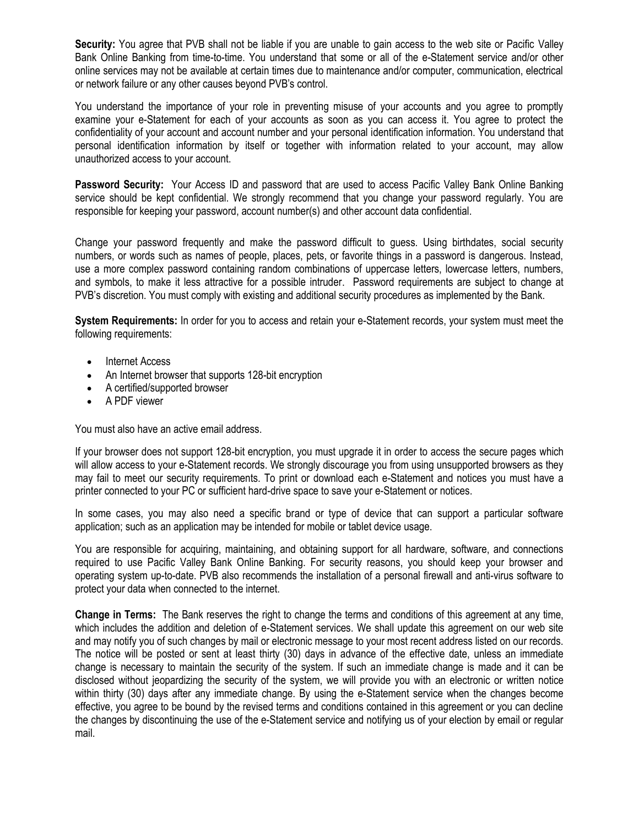**Security:** You agree that PVB shall not be liable if you are unable to gain access to the web site or Pacific Valley Bank Online Banking from time-to-time. You understand that some or all of the e-Statement service and/or other online services may not be available at certain times due to maintenance and/or computer, communication, electrical or network failure or any other causes beyond PVB's control.

You understand the importance of your role in preventing misuse of your accounts and you agree to promptly examine your e-Statement for each of your accounts as soon as you can access it. You agree to protect the confidentiality of your account and account number and your personal identification information. You understand that personal identification information by itself or together with information related to your account, may allow unauthorized access to your account.

**Password Security:** Your Access ID and password that are used to access Pacific Valley Bank Online Banking service should be kept confidential. We strongly recommend that you change your password regularly. You are responsible for keeping your password, account number(s) and other account data confidential.

Change your password frequently and make the password difficult to guess. Using birthdates, social security numbers, or words such as names of people, places, pets, or favorite things in a password is dangerous. Instead, use a more complex password containing random combinations of uppercase letters, lowercase letters, numbers, and symbols, to make it less attractive for a possible intruder. Password requirements are subject to change at PVB's discretion. You must comply with existing and additional security procedures as implemented by the Bank.

**System Requirements:** In order for you to access and retain your e-Statement records, your system must meet the following requirements:

- Internet Access
- An Internet browser that supports 128-bit encryption
- A certified/supported browser
- A PDF viewer

You must also have an active email address.

If your browser does not support 128-bit encryption, you must upgrade it in order to access the secure pages which will allow access to your e-Statement records. We strongly discourage you from using unsupported browsers as they may fail to meet our security requirements. To print or download each e-Statement and notices you must have a printer connected to your PC or sufficient hard-drive space to save your e-Statement or notices.

In some cases, you may also need a specific brand or type of device that can support a particular software application; such as an application may be intended for mobile or tablet device usage.

You are responsible for acquiring, maintaining, and obtaining support for all hardware, software, and connections required to use Pacific Valley Bank Online Banking. For security reasons, you should keep your browser and operating system up-to-date. PVB also recommends the installation of a personal firewall and anti-virus software to protect your data when connected to the internet.

**Change in Terms:** The Bank reserves the right to change the terms and conditions of this agreement at any time, which includes the addition and deletion of e-Statement services. We shall update this agreement on our web site and may notify you of such changes by mail or electronic message to your most recent address listed on our records. The notice will be posted or sent at least thirty (30) days in advance of the effective date, unless an immediate change is necessary to maintain the security of the system. If such an immediate change is made and it can be disclosed without jeopardizing the security of the system, we will provide you with an electronic or written notice within thirty (30) days after any immediate change. By using the e-Statement service when the changes become effective, you agree to be bound by the revised terms and conditions contained in this agreement or you can decline the changes by discontinuing the use of the e-Statement service and notifying us of your election by email or regular mail.